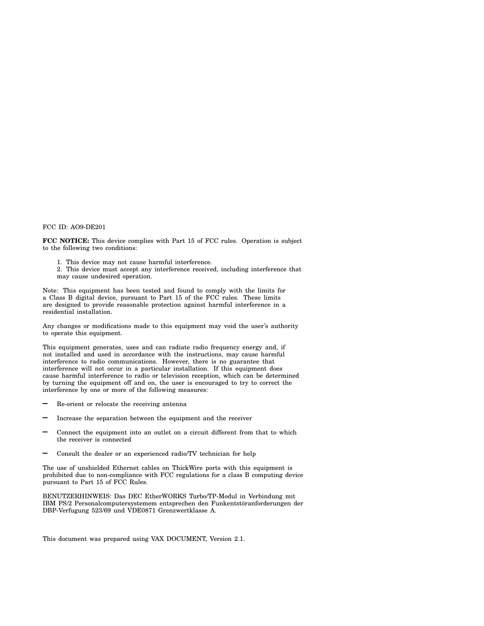#### FCC ID: AO9-DE201

**FCC NOTICE:** This device complies with Part 15 of FCC rules. Operation is subject to the following two conditions:

- 1. This device may not cause harmful interference.
- 2. This device must accept any interference received, including interference that may cause undesired operation.

Note: This equipment has been tested and found to comply with the limits for a Class B digital device, pursuant to Part 15 of the FCC rules. These limits are designed to provide reasonable protection against harmful interference in a residential installation.

Any changes or modifications made to this equipment may void the user's authority to operate this equipment.

This equipment generates, uses and can radiate radio frequency energy and, if not installed and used in accordance with the instructions, may cause harmful interference to radio communications. However, there is no guarantee that interference will not occur in a particular installation. If this equipment does cause harmful interference to radio or television reception, which can be determined by turning the equipment off and on, the user is encouraged to try to correct the interference by one or more of the following measures:

- Re-orient or relocate the receiving antenna
- Increase the separation between the equipment and the receiver
- Connect the equipment into an outlet on a circuit different from that to which the receiver is connected
- Consult the dealer or an experienced radio/TV technician for help

The use of unshielded Ethernet cables on ThickWire ports with this equipment is prohibited due to non-compliance with FCC regulations for a class B computing device pursuant to Part 15 of FCC Rules.

BENUTZERHINWEIS: Das DEC EtherWORKS Turbo/TP-Modul in Verbindung mit IBM PS/2 Personalcomputersystemem entsprechen den Funkentstöranforderungen der DBP-Verfugung 523/69 und VDE0871 Grenzwertklasse A.

This document was prepared using VAX DOCUMENT, Version 2.1.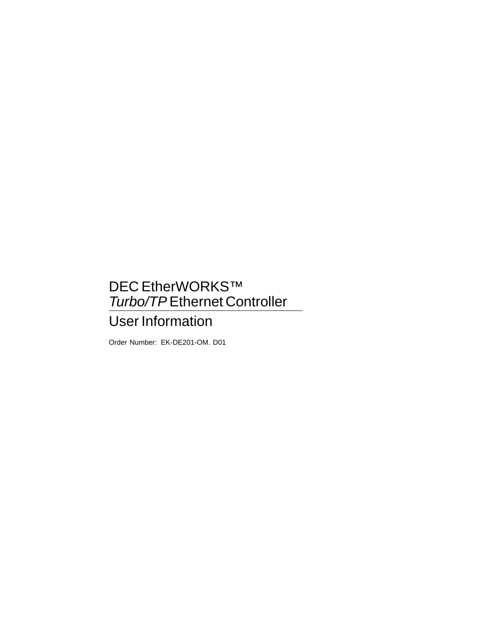# DEC EtherWORKS™ Turbo/TP Ethernet Controller

# User Information

Order Number: EK-DE201-OM. D01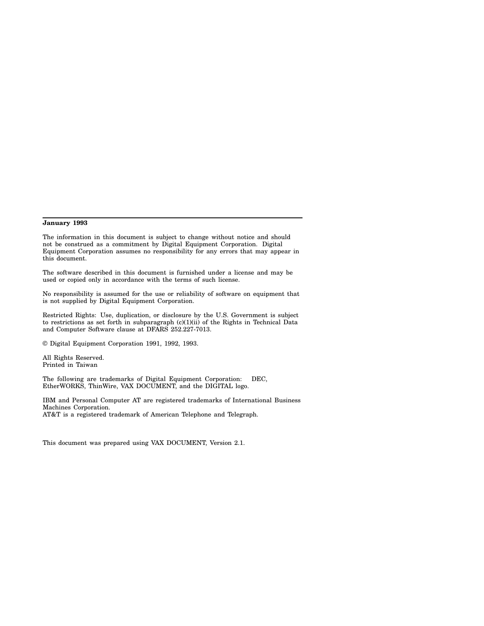#### **January 1993**

The information in this document is subject to change without notice and should not be construed as a commitment by Digital Equipment Corporation. Digital Equipment Corporation assumes no responsibility for any errors that may appear in this document.

The software described in this document is furnished under a license and may be used or copied only in accordance with the terms of such license.

No responsibility is assumed for the use or reliability of software on equipment that is not supplied by Digital Equipment Corporation.

Restricted Rights: Use, duplication, or disclosure by the U.S. Government is subject to restrictions as set forth in subparagraph  $(c)(1)(ii)$  of the Rights in Technical Data and Computer Software clause at DFARS 252.227-7013.

© Digital Equipment Corporation 1991, 1992, 1993.

All Rights Reserved. Printed in Taiwan

The following are trademarks of Digital Equipment Corporation: DEC, EtherWORKS, ThinWire, VAX DOCUMENT, and the DIGITAL logo.

IBM and Personal Computer AT are registered trademarks of International Business Machines Corporation. AT&T is a registered trademark of American Telephone and Telegraph.

This document was prepared using VAX DOCUMENT, Version 2.1.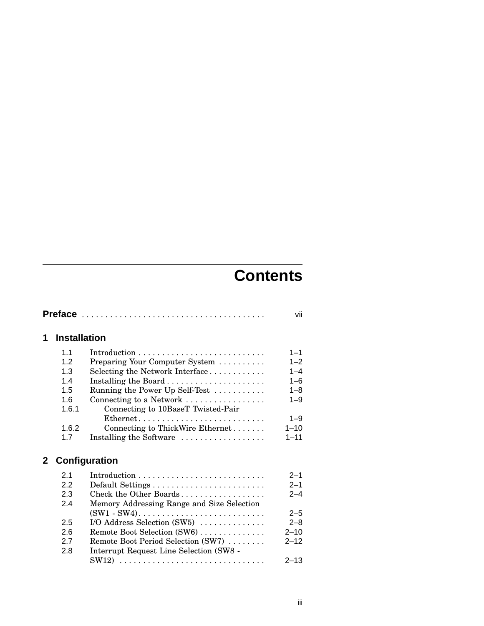# **Contents**

|              |                     |                                            | vii      |
|--------------|---------------------|--------------------------------------------|----------|
| 1            | <b>Installation</b> |                                            |          |
|              | 1 <sub>1</sub>      |                                            | $1 - 1$  |
|              | 12                  | Preparing Your Computer System             | $1 - 2$  |
|              | 1.3                 | Selecting the Network Interface            | $1 - 4$  |
|              | 1.4                 |                                            | $1 - 6$  |
|              | 1.5                 | Running the Power Up Self-Test             | $1 - 8$  |
|              | 1.6                 | Connecting to a Network                    | $1 - 9$  |
|              | 1.6.1               | Connecting to 10BaseT Twisted-Pair         |          |
|              |                     | Ethernet                                   | $1 - 9$  |
|              | 1.6.2               | Connecting to ThickWire Ethernet           | $1 - 10$ |
|              | 1.7                 | Installing the Software                    | $1 - 11$ |
| $\mathbf{2}$ |                     | Configuration                              |          |
|              | 2.1                 |                                            | $2 - 1$  |
|              | 2.2                 | Default Settings                           | $2 - 1$  |
|              | 2.3                 | Check the Other Boards                     | $2 - 4$  |
|              | 2.4                 | Memory Addressing Range and Size Selection |          |
|              |                     |                                            | $2 - 5$  |
|              | 2.5                 | I/O Address Selection $(SW5)$              | $2 - 8$  |
|              | 2.6                 | Remote Boot Selection (SW6)                | $2 - 10$ |
|              | 2.7                 | Remote Boot Period Selection (SW7)         | $2 - 12$ |
|              | 2.8                 | Interrupt Request Line Selection (SW8 -    |          |
|              |                     | $SW12)$                                    | $2 - 13$ |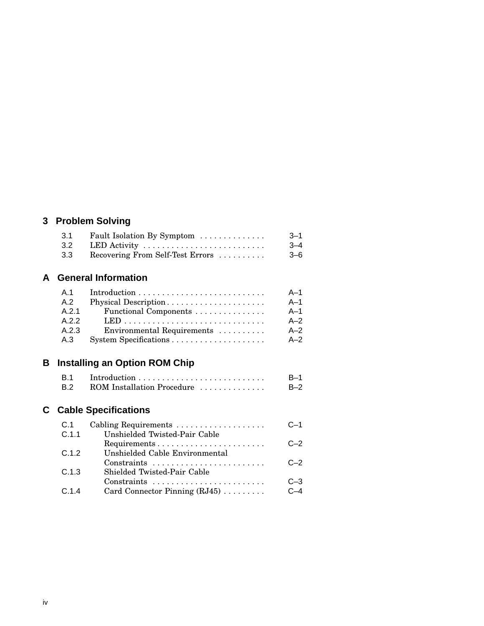### **3 Problem Solving**

| 3.1 | Fault Isolation By Symptom       | $3 - 1$ |
|-----|----------------------------------|---------|
| 3.2 | LED Activity                     | $3 - 4$ |
| 3.3 | Recovering From Self-Test Errors | $3 - 6$ |

#### **A General Information**

| A.1   |                            | $A-1$ |
|-------|----------------------------|-------|
| A.2   | Physical Description       | $A-1$ |
| A.2.1 | Functional Components      | $A-1$ |
| A.2.2 |                            | $A-2$ |
| A.2.3 | Environmental Requirements | $A-2$ |
| A.3   |                            | $A-2$ |

# **B Installing an Option ROM Chip**

| <b>B.1</b> |                            | $B-1$ |
|------------|----------------------------|-------|
| <b>B.2</b> | ROM Installation Procedure | $B-2$ |

# **C Cable Specifications**

| C.1   | Cabling Requirements                                                      | $C-1$   |
|-------|---------------------------------------------------------------------------|---------|
| C.1.1 | Unshielded Twisted-Pair Cable                                             |         |
|       |                                                                           | $C - 2$ |
| C.1.2 | Unshielded Cable Environmental                                            |         |
|       | $Constraints \dots \dots \dots \dots \dots \dots \dots \dots \dots \dots$ | $C - 2$ |
| C.1.3 | Shielded Twisted-Pair Cable                                               |         |
|       | $Constraints \dots \dots \dots \dots \dots \dots \dots \dots \dots \dots$ | $C-3$   |
| C.1.4 | Card Connector Pinning $(RJ45)$                                           | $C-4$   |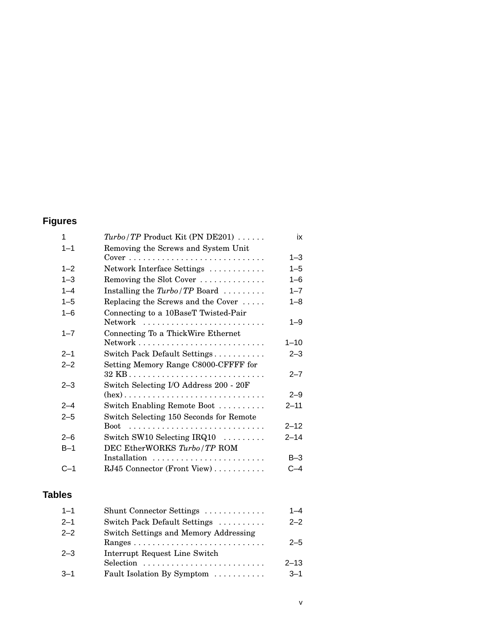# **Figures**

| 1       | $Turbo/TP$ Product Kit (PN DE201)                                         | ix       |
|---------|---------------------------------------------------------------------------|----------|
| $1 - 1$ | Removing the Screws and System Unit                                       |          |
|         | $Cover \dots \dots \dots \dots \dots \dots \dots \dots \dots \dots \dots$ | $1 - 3$  |
| $1 - 2$ | Network Interface Settings                                                | $1 - 5$  |
| $1 - 3$ | Removing the Slot Cover                                                   | $1 - 6$  |
| $1 - 4$ | Installing the $Turbo/TP$ Board $\ldots \ldots$                           | $1 - 7$  |
| $1 - 5$ | Replacing the Screws and the Cover                                        | $1 - 8$  |
| $1 - 6$ | Connecting to a 10BaseT Twisted-Pair                                      |          |
|         | Network                                                                   | $1 - 9$  |
| $1 - 7$ | Connecting To a ThickWire Ethernet                                        |          |
|         |                                                                           | $1 - 10$ |
| $2 - 1$ | Switch Pack Default Settings                                              | $2 - 3$  |
| $2 - 2$ | Setting Memory Range C8000-CFFFF for                                      |          |
|         |                                                                           | $2 - 7$  |
| $2 - 3$ | Switch Selecting I/O Address 200 - 20F                                    |          |
|         |                                                                           | $2 - 9$  |
| $2 - 4$ | Switch Enabling Remote Boot                                               | $2 - 11$ |
| $2 - 5$ | Switch Selecting 150 Seconds for Remote                                   |          |
|         |                                                                           | $2 - 12$ |
| $2 - 6$ | Switch SW10 Selecting $IRQ10$                                             | $2 - 14$ |
| $B-1$   | DEC EtherWORKS Turbo/TP ROM                                               |          |
|         | Installation                                                              | $B-3$    |
| C–1     | RJ45 Connector (Front View)                                               | $C-4$    |
|         |                                                                           |          |

### **Tables**

| $1 - 1$ | Shunt Connector Settings                                                                      | $1 - 4$  |
|---------|-----------------------------------------------------------------------------------------------|----------|
| $2 - 1$ | Switch Pack Default Settings                                                                  | $2 - 2$  |
| $2 - 2$ | Switch Settings and Memory Addressing                                                         | $2 - 5$  |
| $2 - 3$ | Interrupt Request Line Switch<br>Selection $\ldots \ldots \ldots \ldots \ldots \ldots \ldots$ | $2 - 13$ |
| $3 - 1$ | Fault Isolation By Symptom                                                                    | $3 - 1$  |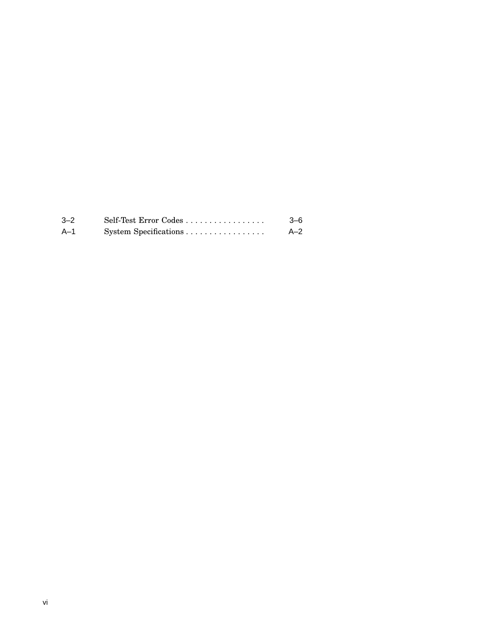| $-2$ | $\text{Self-Test Error Codes} \ldots \ldots \ldots \ldots \ldots$ | $3-6$ |
|------|-------------------------------------------------------------------|-------|
| A–1  | System Specifications                                             | $A-2$ |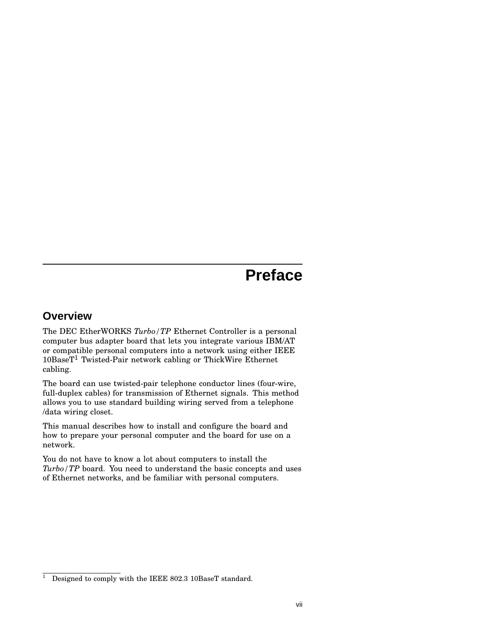# **Preface**

#### **Overview**

The DEC EtherWORKS *Turbo/TP* Ethernet Controller is a personal computer bus adapter board that lets you integrate various IBM/AT or compatible personal computers into a network using either IEEE 10BaseT<sup>1</sup> Twisted-Pair network cabling or ThickWire Ethernet cabling.

The board can use twisted-pair telephone conductor lines (four-wire, full-duplex cables) for transmission of Ethernet signals. This method allows you to use standard building wiring served from a telephone /data wiring closet.

This manual describes how to install and configure the board and how to prepare your personal computer and the board for use on a network.

You do not have to know a lot about computers to install the *Turbo/TP* board. You need to understand the basic concepts and uses of Ethernet networks, and be familiar with personal computers.

<sup>&</sup>lt;sup>1</sup> Designed to comply with the IEEE 802.3 10BaseT standard.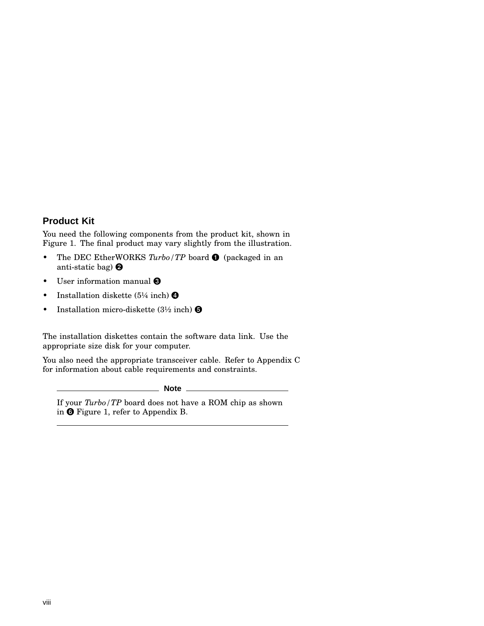#### **Product Kit**

You need the following components from the product kit, shown in Figure 1. The final product may vary slightly from the illustration.

- The DEC EtherWORKS *Turbo*/TP board  $\bullet$  (packaged in an anti-static bag)
- User information manual  $\Theta$
- Installation diskette  $(5\frac{1}{4}$  inch)  $\bullet$
- Installation micro-diskette  $(3\frac{1}{2} \text{ inch})$   $\Theta$

The installation diskettes contain the software data link. Use the appropriate size disk for your computer.

You also need the appropriate transceiver cable. Refer to Appendix C for information about cable requirements and constraints.

**Note**

If your *Turbo/TP* board does not have a ROM chip as shown in  $\Theta$  Figure 1, refer to Appendix B.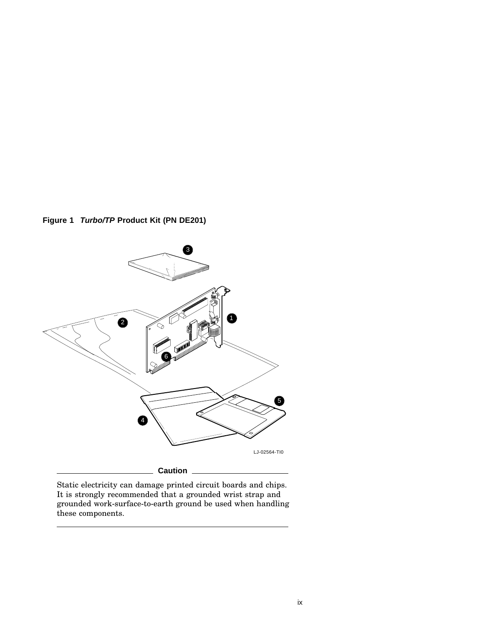**Figure 1 Turbo/TP Product Kit (PN DE201)**



Static electricity can damage printed circuit boards and chips. It is strongly recommended that a grounded wrist strap and grounded work-surface-to-earth ground be used when handling these components.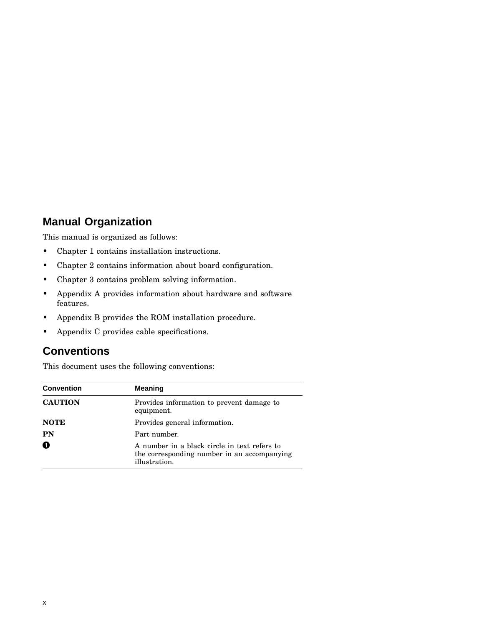#### **Manual Organization**

This manual is organized as follows:

- Chapter 1 contains installation instructions.
- Chapter 2 contains information about board configuration.
- Chapter 3 contains problem solving information.
- Appendix A provides information about hardware and software features.
- Appendix B provides the ROM installation procedure.
- Appendix C provides cable specifications.

#### **Conventions**

This document uses the following conventions:

| <b>Convention</b> | <b>Meaning</b>                                                                                               |
|-------------------|--------------------------------------------------------------------------------------------------------------|
| <b>CAUTION</b>    | Provides information to prevent damage to<br>equipment.                                                      |
| <b>NOTE</b>       | Provides general information.                                                                                |
| PN                | Part number.                                                                                                 |
| 0                 | A number in a black circle in text refers to<br>the corresponding number in an accompanying<br>illustration. |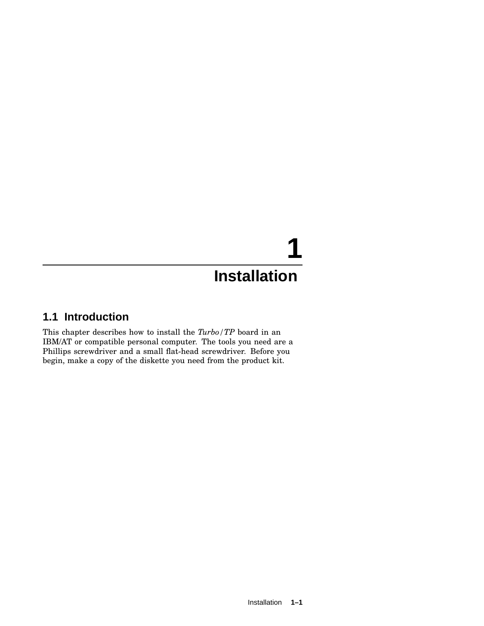# **1 Installation**

#### **1.1 Introduction**

This chapter describes how to install the *Turbo/TP* board in an IBM/AT or compatible personal computer. The tools you need are a Phillips screwdriver and a small flat-head screwdriver. Before you begin, make a copy of the diskette you need from the product kit.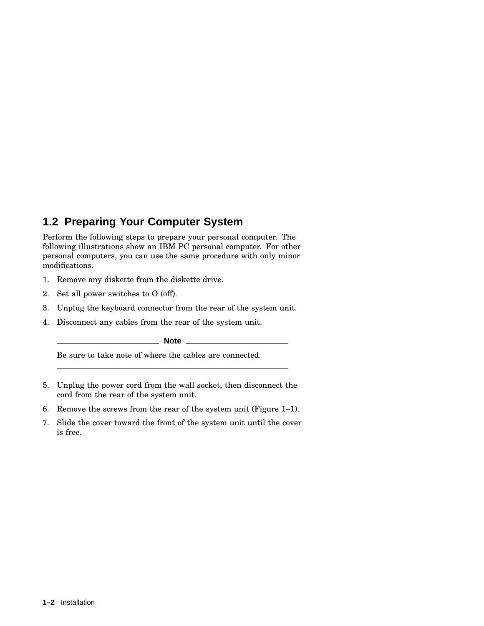### **1.2 Preparing Your Computer System**

Perform the following steps to prepare your personal computer. The following illustrations show an IBM PC personal computer. For other personal computers, you can use the same procedure with only minor modifications.

- 1. Remove any diskette from the diskette drive.
- 2. Set all power switches to O (off).
- 3. Unplug the keyboard connector from the rear of the system unit.
- 4. Disconnect any cables from the rear of the system unit.

**Note**

Be sure to take note of where the cables are connected.

- 5. Unplug the power cord from the wall socket, then disconnect the cord from the rear of the system unit.
- 6. Remove the screws from the rear of the system unit (Figure 1–1).
- 7. Slide the cover toward the front of the system unit until the cover is free.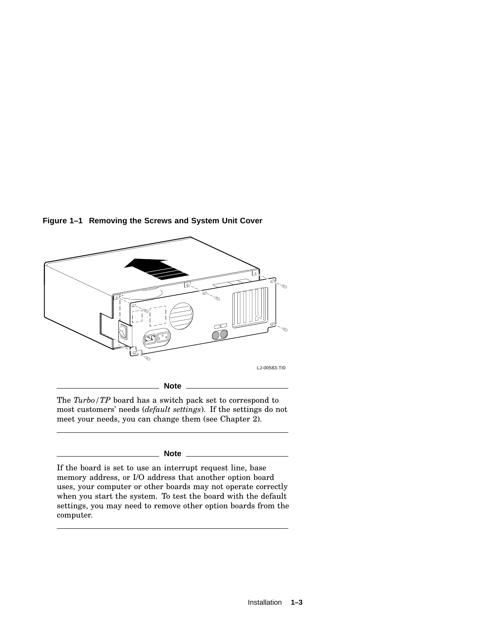

**Figure 1–1 Removing the Screws and System Unit Cover**

The *Turbo/TP* board has a switch pack set to correspond to most customers' needs (*default settings*). If the settings do not meet your needs, you can change them (see Chapter 2).

#### **Note**

If the board is set to use an interrupt request line, base memory address, or I/O address that another option board uses, your computer or other boards may not operate correctly when you start the system. To test the board with the default settings, you may need to remove other option boards from the computer.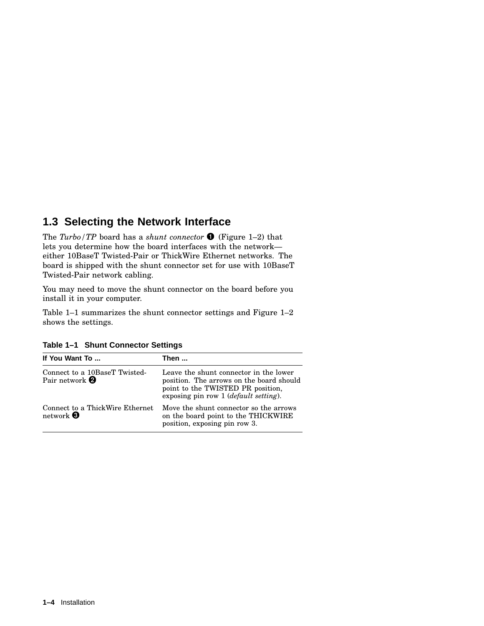#### **1.3 Selecting the Network Interface**

The *Turbo/TP* board has a *shunt connector* (Figure 1–2) that lets you determine how the board interfaces with the network either 10BaseT Twisted-Pair or ThickWire Ethernet networks. The board is shipped with the shunt connector set for use with 10BaseT Twisted-Pair network cabling.

You may need to move the shunt connector on the board before you install it in your computer.

Table 1–1 summarizes the shunt connector settings and Figure 1–2 shows the settings.

| Table 1-1 Shunt Connector Settings |  |  |  |
|------------------------------------|--|--|--|
|------------------------------------|--|--|--|

| If You Want To                                                   | Then                                                                                                                                                             |  |
|------------------------------------------------------------------|------------------------------------------------------------------------------------------------------------------------------------------------------------------|--|
| Connect to a 10BaseT Twisted-<br>Pair network $\boldsymbol{Q}$   | Leave the shunt connector in the lower<br>position. The arrows on the board should<br>point to the TWISTED PR position,<br>exposing pin row 1 (default setting). |  |
| Connect to a ThickWire Ethernet<br>network $\boldsymbol{\Theta}$ | Move the shunt connector so the arrows<br>on the board point to the THICKWIRE<br>position, exposing pin row 3.                                                   |  |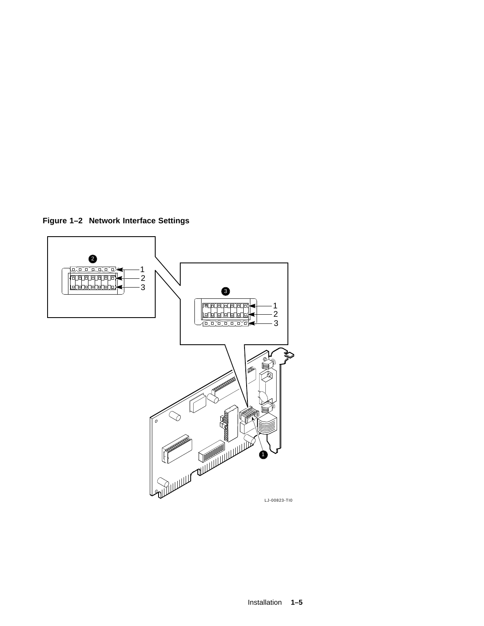**Figure 1–2 Network Interface Settings**

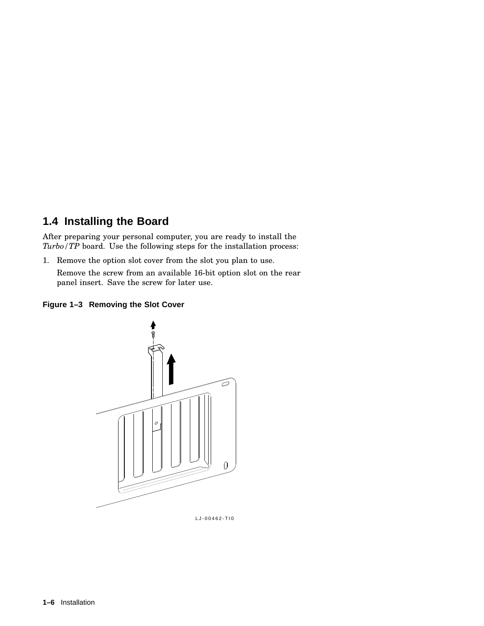#### **1.4 Installing the Board**

After preparing your personal computer, you are ready to install the *Turbo/TP* board. Use the following steps for the installation process:

1. Remove the option slot cover from the slot you plan to use.

Remove the screw from an available 16-bit option slot on the rear panel insert. Save the screw for later use.

#### **Figure 1–3 Removing the Slot Cover**



LJ-00462-TI0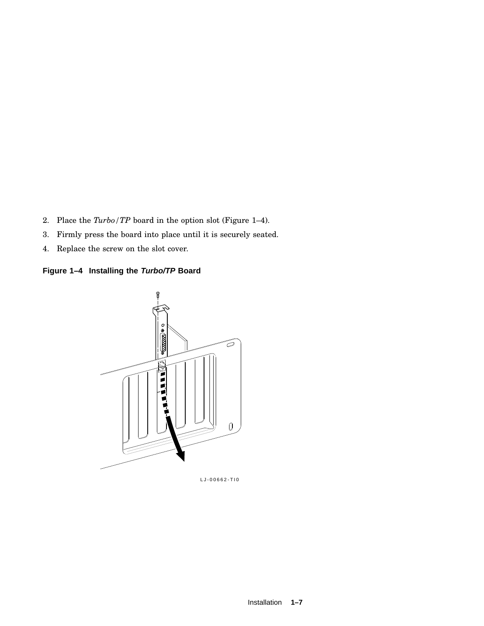- 2. Place the *Turbo/TP* board in the option slot (Figure 1–4).
- 3. Firmly press the board into place until it is securely seated.
- 4. Replace the screw on the slot cover.





LJ-00662-TI0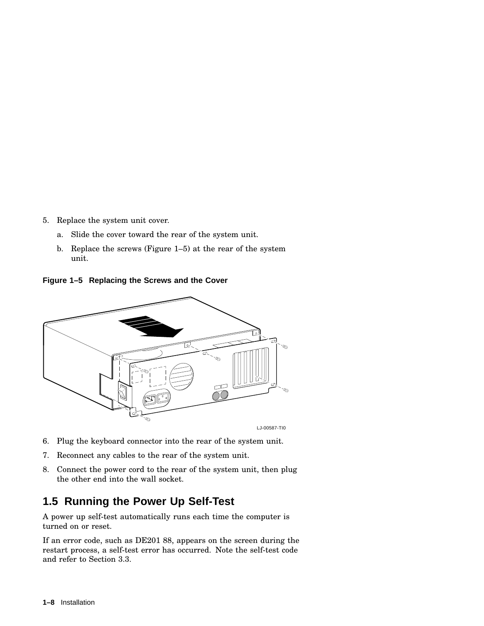- 5. Replace the system unit cover.
	- a. Slide the cover toward the rear of the system unit.
	- b. Replace the screws (Figure 1–5) at the rear of the system unit.

**Figure 1–5 Replacing the Screws and the Cover**



- 6. Plug the keyboard connector into the rear of the system unit.
- 7. Reconnect any cables to the rear of the system unit.
- 8. Connect the power cord to the rear of the system unit, then plug the other end into the wall socket.

#### **1.5 Running the Power Up Self-Test**

A power up self-test automatically runs each time the computer is turned on or reset.

If an error code, such as DE201 88, appears on the screen during the restart process, a self-test error has occurred. Note the self-test code and refer to Section 3.3.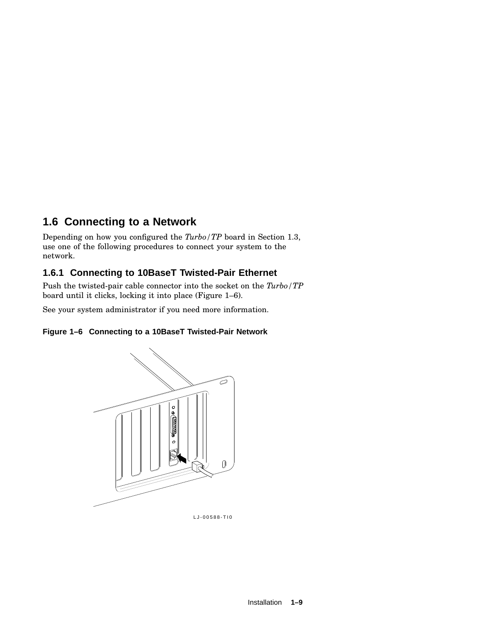### **1.6 Connecting to a Network**

Depending on how you configured the *Turbo/TP* board in Section 1.3, use one of the following procedures to connect your system to the network.

#### **1.6.1 Connecting to 10BaseT Twisted-Pair Ethernet**

Push the twisted-pair cable connector into the socket on the *Turbo/TP* board until it clicks, locking it into place (Figure 1–6).

See your system administrator if you need more information.

#### **Figure 1–6 Connecting to a 10BaseT Twisted-Pair Network**



LJ-00588-TI0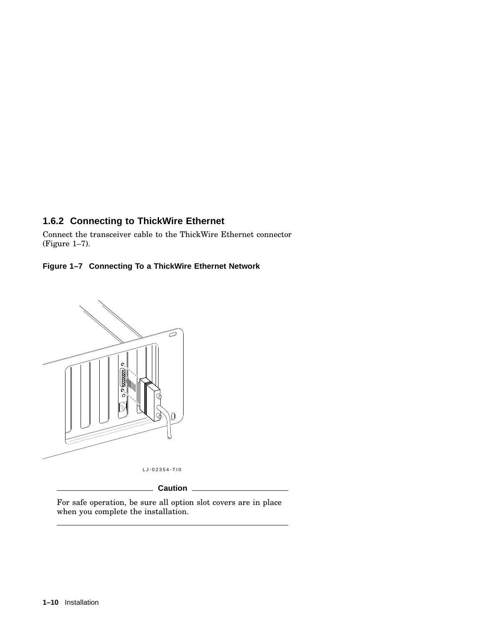#### **1.6.2 Connecting to ThickWire Ethernet**

Connect the transceiver cable to the ThickWire Ethernet connector (Figure 1–7).

#### **Figure 1–7 Connecting To a ThickWire Ethernet Network**



**Caution**

For safe operation, be sure all option slot covers are in place when you complete the installation.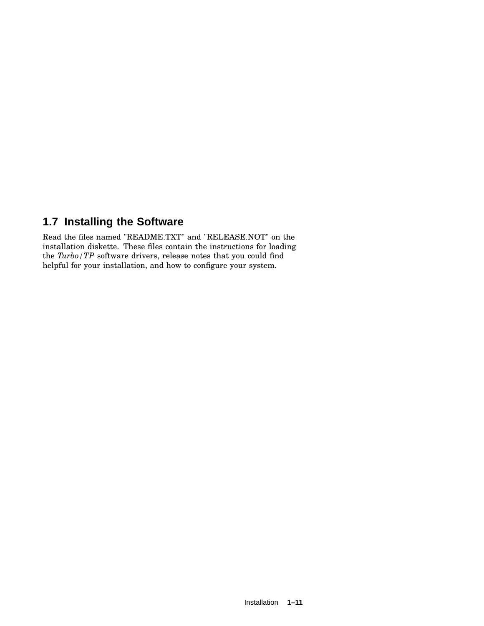#### **1.7 Installing the Software**

Read the files named "README.TXT" and "RELEASE.NOT" on the installation diskette. These files contain the instructions for loading the *Turbo/TP* software drivers, release notes that you could find helpful for your installation, and how to configure your system.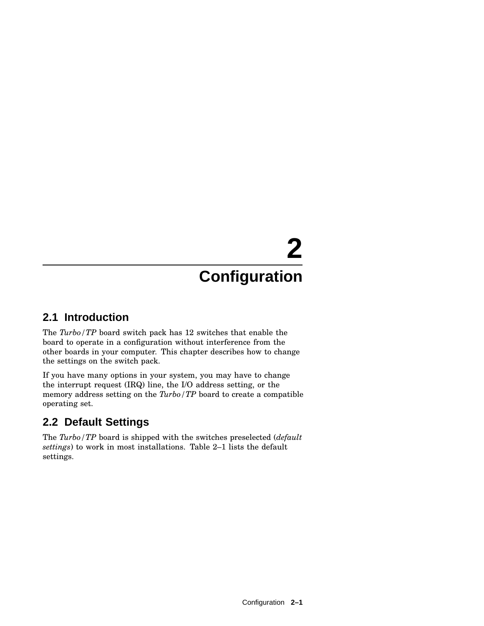# **2**

# **Configuration**

#### **2.1 Introduction**

The *Turbo/TP* board switch pack has 12 switches that enable the board to operate in a configuration without interference from the other boards in your computer. This chapter describes how to change the settings on the switch pack.

If you have many options in your system, you may have to change the interrupt request (IRQ) line, the I/O address setting, or the memory address setting on the *Turbo/TP* board to create a compatible operating set.

## **2.2 Default Settings**

The *Turbo/TP* board is shipped with the switches preselected (*default settings*) to work in most installations. Table 2–1 lists the default settings.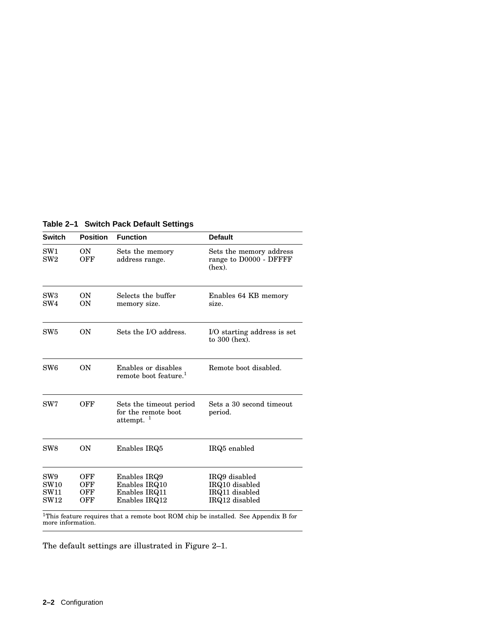| <b>Switch</b>                      | <b>Position</b>          | <b>Function</b>                                                 | <b>Default</b>                                                                                  |
|------------------------------------|--------------------------|-----------------------------------------------------------------|-------------------------------------------------------------------------------------------------|
| SW <sub>1</sub><br>SW2             | 0N<br>OFF                | Sets the memory<br>address range.                               | Sets the memory address<br>range to D0000 - DFFFF<br>(hex).                                     |
| SW <sub>3</sub><br>SW <sub>4</sub> | <b>ON</b><br><b>ON</b>   | Selects the buffer<br>memory size.                              | Enables 64 KB memory<br>size.                                                                   |
| SW5                                | <b>ON</b>                | Sets the I/O address.                                           | I/O starting address is set<br>to $300$ (hex).                                                  |
| SW <sub>6</sub>                    | <b>ON</b>                | Enables or disables<br>remote boot feature. <sup>1</sup>        | Remote boot disabled.                                                                           |
| SW7                                | OFF                      | Sets the timeout period<br>for the remote boot<br>attempt. $1$  | Sets a 30 second timeout<br>period.                                                             |
| SW <sub>8</sub>                    | 0N                       | Enables IRQ5                                                    | IRQ5 enabled                                                                                    |
| SW9<br>SW10<br><b>SW11</b><br>SW12 | OFF<br>OFF<br>OFF<br>OFF | Enables IRQ9<br>Enables IRQ10<br>Enables IRQ11<br>Enables IRQ12 | IRQ9 disabled<br>IRQ10 disabled<br>IRQ11 disabled<br>IRQ12 disabled                             |
|                                    |                          |                                                                 | <sup>1</sup> This feature requires that a remate heat POM ship be installed. See Appendix B for |

**Table 2–1 Switch Pack Default Settings**

 $^{1}$ This feature requires that a remote boot ROM chip be installed. See Appendix B for<br>more information.

The default settings are illustrated in Figure 2–1.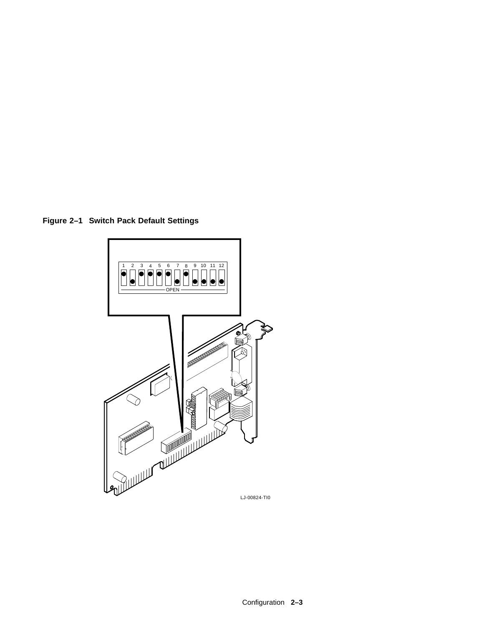**Figure 2–1 Switch Pack Default Settings**

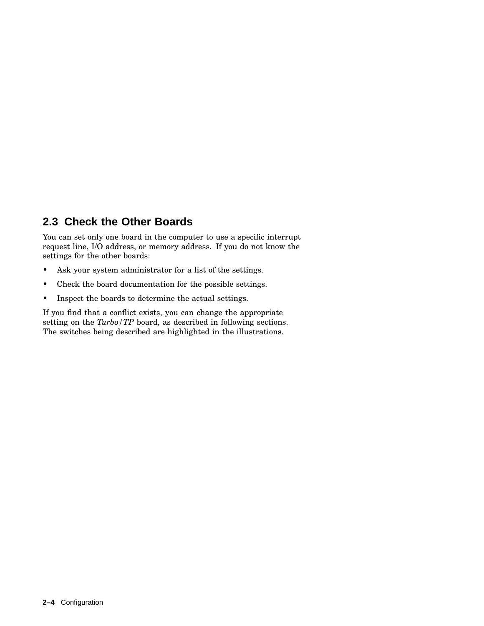### **2.3 Check the Other Boards**

You can set only one board in the computer to use a specific interrupt request line, I/O address, or memory address. If you do not know the settings for the other boards:

- Ask your system administrator for a list of the settings.
- Check the board documentation for the possible settings.
- Inspect the boards to determine the actual settings.

If you find that a conflict exists, you can change the appropriate setting on the *Turbo/TP* board, as described in following sections. The switches being described are highlighted in the illustrations.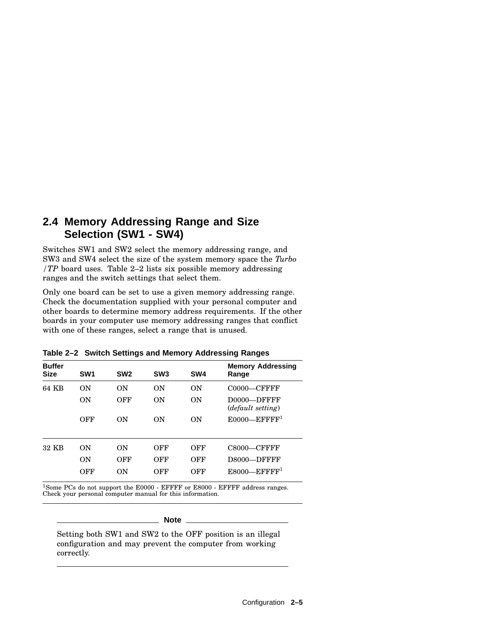#### **2.4 Memory Addressing Range and Size Selection (SW1 - SW4)**

Switches SW1 and SW2 select the memory addressing range, and SW3 and SW4 select the size of the system memory space the *Turbo /TP* board uses. Table 2–2 lists six possible memory addressing ranges and the switch settings that select them.

Only one board can be set to use a given memory addressing range. Check the documentation supplied with your personal computer and other boards to determine memory address requirements. If the other boards in your computer use memory addressing ranges that conflict with one of these ranges, select a range that is unused.

| <b>Buffer</b><br><b>Size</b> | SW <sub>1</sub> | SW <sub>2</sub> | SW <sub>3</sub> | SW <sub>4</sub> | <b>Memory Addressing</b><br>Range         |
|------------------------------|-----------------|-----------------|-----------------|-----------------|-------------------------------------------|
| 64 KB                        | ON              | ON              | 0 <sub>N</sub>  | ON              | $C0000-CFFFFF$                            |
|                              | ON              | OFF             | <b>ON</b>       | ON              | D0000-DFFFF<br>( <i>default setting</i> ) |
|                              | OFF             | ON              | ON              | ON              | $E0000$ —EFFFF <sup>1</sup>               |
| 32 KB                        | ON              | ON              | OFF             | OFF             | $C8000-CFFFFF$                            |
|                              | ON              | OFF             | OFF             | OFF             | D8000-DFFFF                               |
|                              | OFF             | ON              | OFF             | OFF             | $E8000$ —EFFFF <sup>1</sup>               |

**Table 2–2 Switch Settings and Memory Addressing Ranges**

 $^{1}\mathrm{Some}$  PCs do not support the E0000 - EFFFF or E8000 - EFFFF address ranges. Check your personal computer manual for this information.

#### **Note**

Setting both SW1 and SW2 to the OFF position is an illegal configuration and may prevent the computer from working correctly.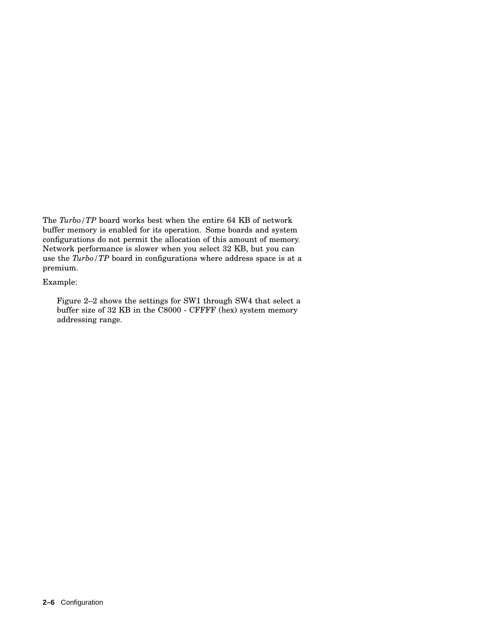The *Turbo/TP* board works best when the entire 64 KB of network buffer memory is enabled for its operation. Some boards and system configurations do not permit the allocation of this amount of memory. Network performance is slower when you select 32 KB, but you can use the *Turbo/TP* board in configurations where address space is at a premium.

#### Example:

Figure 2–2 shows the settings for SW1 through SW4 that select a buffer size of 32 KB in the C8000 - CFFFF (hex) system memory addressing range.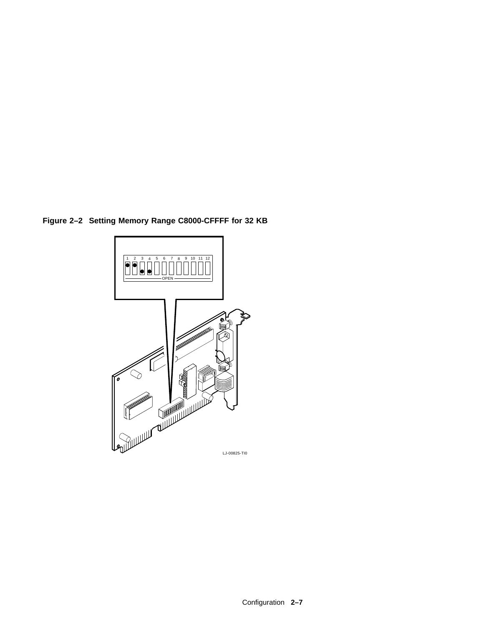**Figure 2–2 Setting Memory Range C8000-CFFFF for 32 KB**

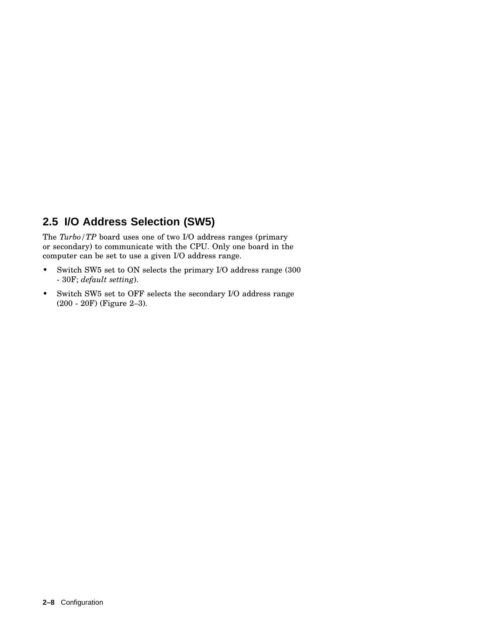### **2.5 I/O Address Selection (SW5)**

The *Turbo/TP* board uses one of two I/O address ranges (primary or secondary) to communicate with the CPU. Only one board in the computer can be set to use a given I/O address range.

- Switch SW5 set to ON selects the primary I/O address range (300) - 30F; *default setting*).
- Switch SW5 set to OFF selects the secondary I/O address range (200 - 20F) (Figure 2–3).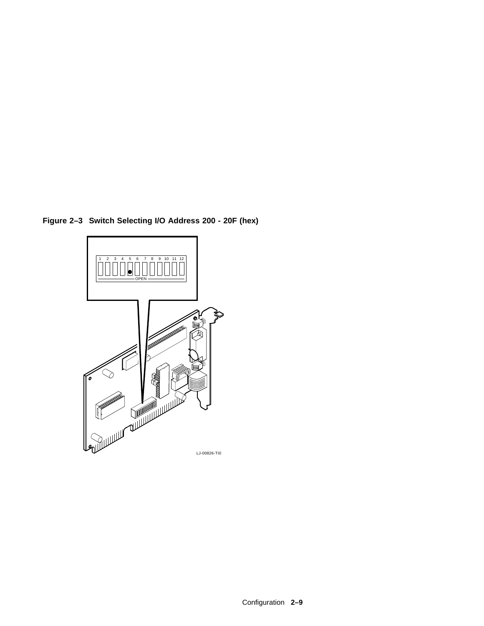

**Figure 2–3 Switch Selecting I/O Address 200 - 20F (hex)**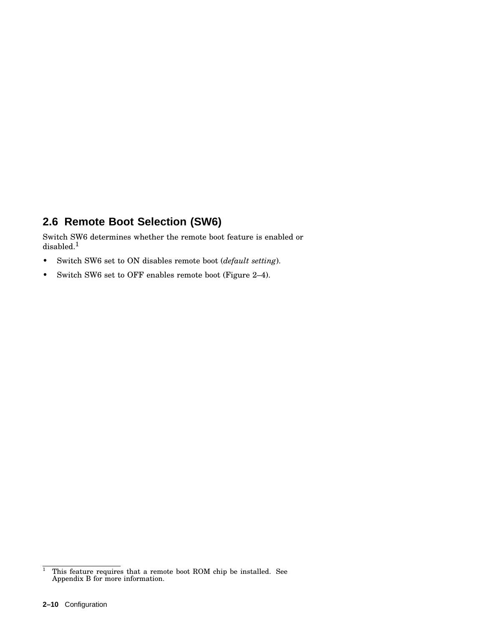### **2.6 Remote Boot Selection (SW6)**

Switch SW6 determines whether the remote boot feature is enabled or disabled.<sup>1</sup>

- Switch SW6 set to ON disables remote boot (*default setting*).
- Switch SW6 set to OFF enables remote boot (Figure 2–4).

 $1$  This feature requires that a remote boot ROM chip be installed. See Appendix B for more information.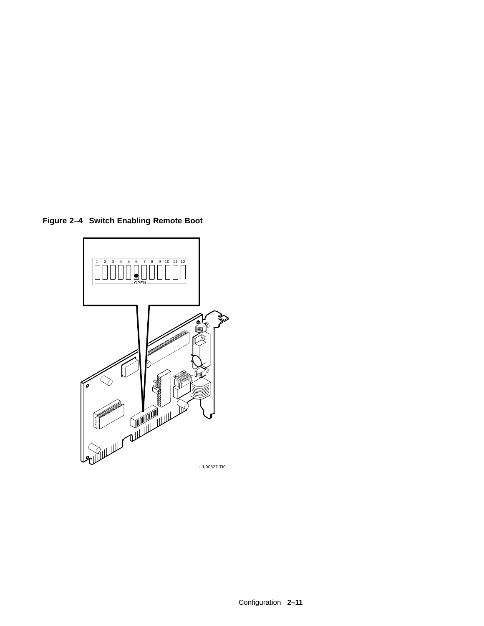**Figure 2–4 Switch Enabling Remote Boot**

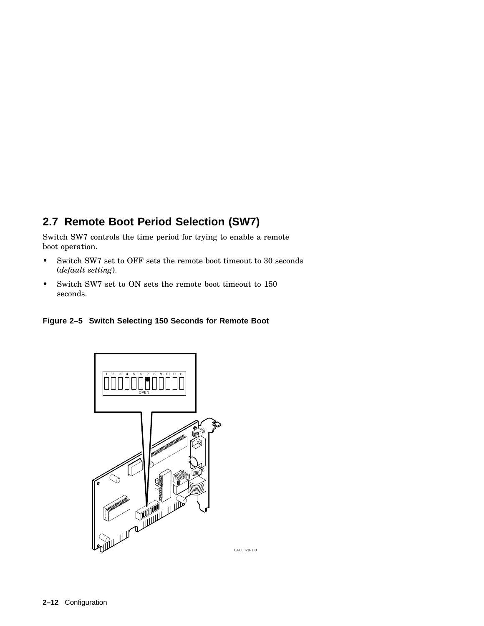## **2.7 Remote Boot Period Selection (SW7)**

Switch SW7 controls the time period for trying to enable a remote boot operation.

- Switch SW7 set to OFF sets the remote boot timeout to 30 seconds (*default setting*).
- Switch SW7 set to ON sets the remote boot timeout to 150 seconds.





LJ-00828-TI0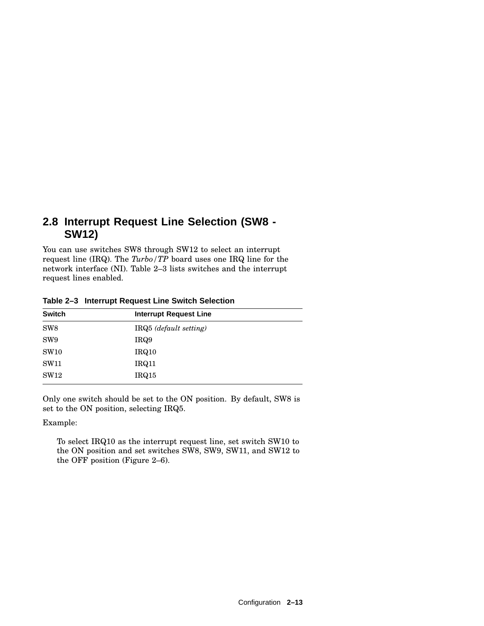#### **2.8 Interrupt Request Line Selection (SW8 - SW12)**

You can use switches SW8 through SW12 to select an interrupt request line (IRQ). The *Turbo/TP* board uses one IRQ line for the network interface (NI). Table 2–3 lists switches and the interrupt request lines enabled.

| <b>Switch</b>   | Interrupt Request Line |  |
|-----------------|------------------------|--|
| SW <sub>8</sub> | IRQ5 (default setting) |  |
| SW <sub>9</sub> | IRQ9                   |  |
| <b>SW10</b>     | IRQ10                  |  |
| <b>SW11</b>     | IRQ11                  |  |
| SW12            | IRQ15                  |  |

**Table 2–3 Interrupt Request Line Switch Selection**

Only one switch should be set to the ON position. By default, SW8 is set to the ON position, selecting IRQ5.

Example:

To select IRQ10 as the interrupt request line, set switch SW10 to the ON position and set switches SW8, SW9, SW11, and SW12 to the OFF position (Figure 2–6).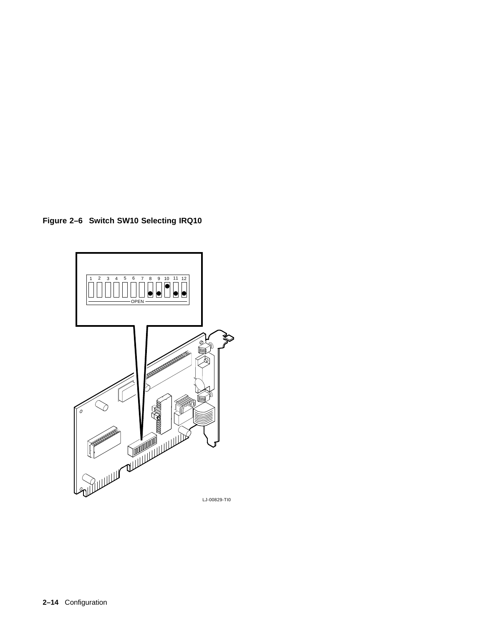**Figure 2–6 Switch SW10 Selecting IRQ10**

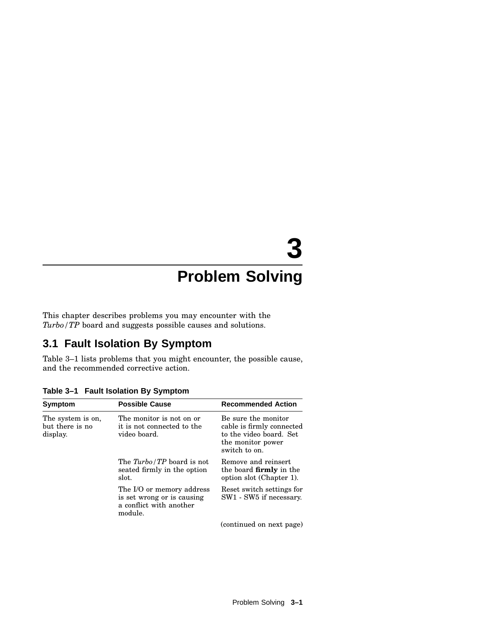# **3**

# **Problem Solving**

This chapter describes problems you may encounter with the *Turbo/TP* board and suggests possible causes and solutions.

#### **3.1 Fault Isolation By Symptom**

Table 3–1 lists problems that you might encounter, the possible cause, and the recommended corrective action.

| Symptom                                          | <b>Possible Cause</b>                                                                         | <b>Recommended Action</b>                                                                                         |
|--------------------------------------------------|-----------------------------------------------------------------------------------------------|-------------------------------------------------------------------------------------------------------------------|
| The system is on,<br>but there is no<br>display. | The monitor is not on or<br>it is not connected to the<br>video board.                        | Be sure the monitor<br>cable is firmly connected<br>to the video board. Set<br>the monitor power<br>switch to on. |
|                                                  | The <i>Turbo/TP</i> board is not<br>seated firmly in the option<br>slot.                      | Remove and reinsert<br>the board <b>firmly</b> in the<br>option slot (Chapter 1).                                 |
|                                                  | The I/O or memory address<br>is set wrong or is causing<br>a conflict with another<br>module. | Reset switch settings for<br>SW1 - SW5 if necessary.                                                              |
|                                                  |                                                                                               | (continued on next page)                                                                                          |

**Table 3–1 Fault Isolation By Symptom**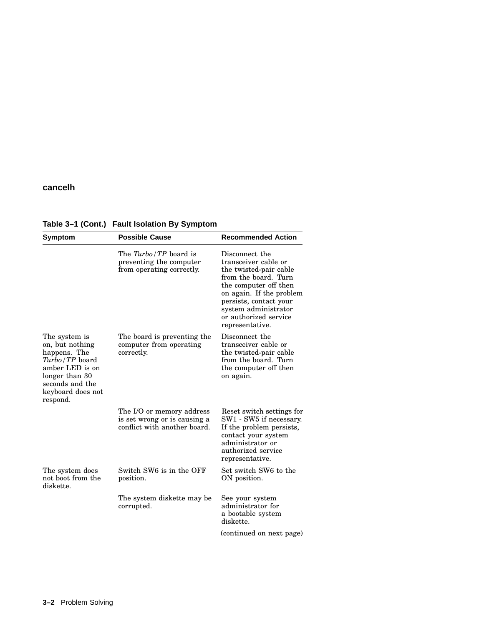#### **cancelh**

| <b>Symptom</b>                                                                                                                                              | <b>Possible Cause</b>                                                                     | <b>Recommended Action</b>                                                                                                                                                                                                                   |
|-------------------------------------------------------------------------------------------------------------------------------------------------------------|-------------------------------------------------------------------------------------------|---------------------------------------------------------------------------------------------------------------------------------------------------------------------------------------------------------------------------------------------|
|                                                                                                                                                             | The Turbo/TP board is<br>preventing the computer<br>from operating correctly.             | Disconnect the<br>transceiver cable or<br>the twisted-pair cable<br>from the board. Turn<br>the computer off then<br>on again. If the problem<br>persists, contact your<br>system administrator<br>or authorized service<br>representative. |
| The system is<br>on, but nothing<br>happens. The<br>Turbo/TP board<br>amber LED is on<br>longer than 30<br>seconds and the<br>keyboard does not<br>respond. | The board is preventing the<br>computer from operating<br>correctly.                      | Disconnect the<br>transceiver cable or<br>the twisted-pair cable<br>from the board. Turn<br>the computer off then<br>on again.                                                                                                              |
|                                                                                                                                                             | The I/O or memory address<br>is set wrong or is causing a<br>conflict with another board. | Reset switch settings for<br>SW1 - SW5 if necessary.<br>If the problem persists,<br>contact your system<br>administrator or<br>authorized service<br>representative.                                                                        |
| The system does<br>not boot from the<br>diskette.                                                                                                           | Switch SW6 is in the OFF<br>position.                                                     | Set switch SW6 to the<br>ON position.                                                                                                                                                                                                       |
|                                                                                                                                                             | The system diskette may be<br>corrupted.                                                  | See your system<br>administrator for<br>a bootable system<br>diskette.                                                                                                                                                                      |
|                                                                                                                                                             |                                                                                           | (continued on next page)                                                                                                                                                                                                                    |

**Table 3–1 (Cont.) Fault Isolation By Symptom**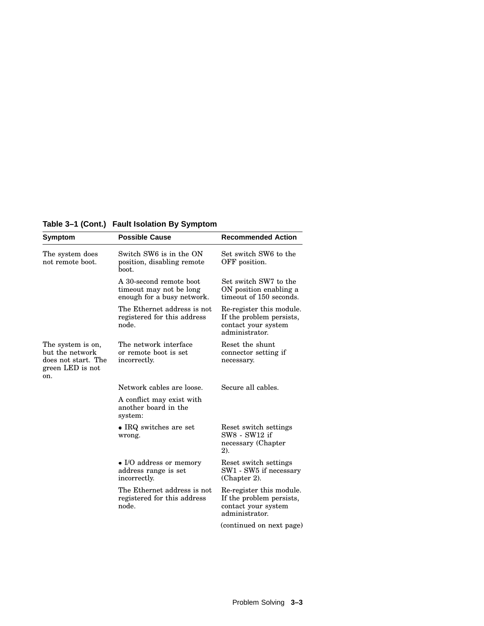**Table 3–1 (Cont.) Fault Isolation By Symptom**

| Symptom                                                                                | <b>Possible Cause</b>                                                            | <b>Recommended Action</b>                                                                                                 |
|----------------------------------------------------------------------------------------|----------------------------------------------------------------------------------|---------------------------------------------------------------------------------------------------------------------------|
| The system does<br>not remote boot.                                                    | Switch SW6 is in the ON<br>position, disabling remote<br>boot.                   | Set switch SW6 to the<br>OFF position.                                                                                    |
|                                                                                        | A 30-second remote boot<br>timeout may not be long<br>enough for a busy network. | Set switch SW7 to the<br>ON position enabling a<br>timeout of 150 seconds.                                                |
|                                                                                        | The Ethernet address is not<br>registered for this address<br>node.              | Re-register this module.<br>If the problem persists,<br>contact your system<br>administrator.                             |
| The system is on,<br>but the network<br>does not start. The<br>green LED is not<br>on. | The network interface<br>or remote boot is set<br>incorrectly.                   | Reset the shunt<br>connector setting if<br>necessary.                                                                     |
|                                                                                        | Network cables are loose.                                                        | Secure all cables.                                                                                                        |
|                                                                                        | A conflict may exist with<br>another board in the<br>system:                     |                                                                                                                           |
|                                                                                        | $\bullet$ IRQ switches are set<br>wrong.                                         | Reset switch settings<br>SW8 - SW12 if<br>necessary (Chapter<br>2).                                                       |
|                                                                                        | • I/O address or memory<br>address range is set<br>incorrectly.                  | Reset switch settings<br>SW1 - SW5 if necessary<br>(Chapter 2).                                                           |
|                                                                                        | The Ethernet address is not<br>registered for this address<br>node.              | Re-register this module.<br>If the problem persists,<br>contact your system<br>administrator.<br>(continued on next page) |
|                                                                                        |                                                                                  |                                                                                                                           |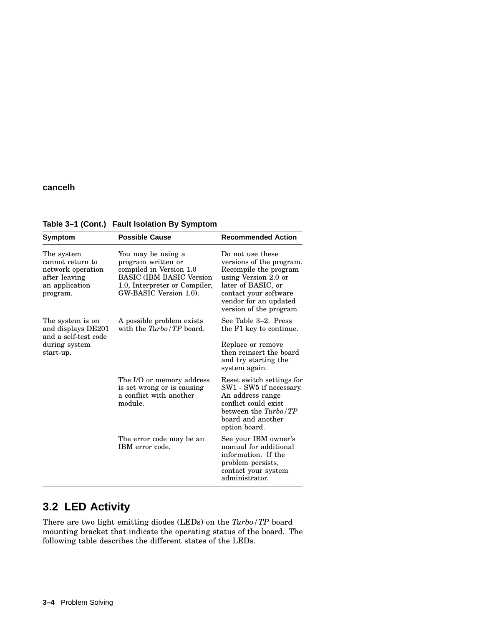#### **cancelh**

| Symptom                                                                                            | <b>Possible Cause</b>                                                                                                                                              | <b>Recommended Action</b>                                                                                                                                                                        |
|----------------------------------------------------------------------------------------------------|--------------------------------------------------------------------------------------------------------------------------------------------------------------------|--------------------------------------------------------------------------------------------------------------------------------------------------------------------------------------------------|
| The system<br>cannot return to<br>network operation<br>after leaving<br>an application<br>program. | You may be using a<br>program written or<br>compiled in Version 1.0<br><b>BASIC (IBM BASIC Version)</b><br>1.0, Interpreter or Compiler,<br>GW-BASIC Version 1.0). | Do not use these<br>versions of the program.<br>Recompile the program<br>using Version 2.0 or<br>later of BASIC, or<br>contact your software<br>vendor for an updated<br>version of the program. |
| The system is on<br>and displays DE201<br>and a self-test code<br>during system<br>start-up.       | A possible problem exists<br>with the $Turbo/TP$ board.                                                                                                            | See Table 3–2. Press<br>the F1 key to continue.<br>Replace or remove<br>then reinsert the board<br>and try starting the<br>system again.                                                         |
|                                                                                                    | The I/O or memory address<br>is set wrong or is causing<br>a conflict with another<br>module.                                                                      | Reset switch settings for<br>SW1 - SW5 if necessary.<br>An address range<br>conflict could exist<br>between the Turbo/TP<br>board and another<br>option board.                                   |
|                                                                                                    | The error code may be an<br>IBM error code.                                                                                                                        | See your IBM owner's<br>manual for additional<br>information. If the<br>problem persists,<br>contact your system<br>administrator.                                                               |

#### **Table 3–1 (Cont.) Fault Isolation By Symptom**

## **3.2 LED Activity**

There are two light emitting diodes (LEDs) on the *Turbo/TP* board mounting bracket that indicate the operating status of the board. The following table describes the different states of the LEDs.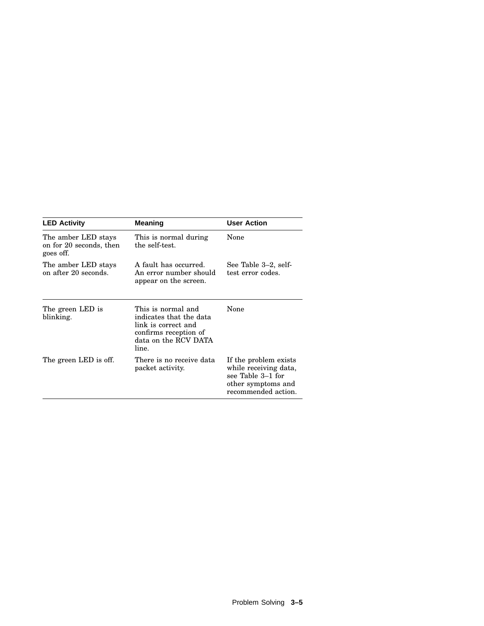| <b>LED Activity</b>                                         | <b>Meaning</b>                                                                                                                 | <b>User Action</b>                                                                                               |
|-------------------------------------------------------------|--------------------------------------------------------------------------------------------------------------------------------|------------------------------------------------------------------------------------------------------------------|
| The amber LED stays<br>on for 20 seconds, then<br>goes off. | This is normal during<br>the self-test.                                                                                        | None                                                                                                             |
| The amber LED stays<br>on after 20 seconds.                 | A fault has occurred.<br>An error number should<br>appear on the screen.                                                       | See Table 3–2, self-<br>test error codes.                                                                        |
| The green LED is<br>blinking.                               | This is normal and<br>indicates that the data<br>link is correct and<br>confirms reception of<br>data on the RCV DATA<br>line. | None                                                                                                             |
| The green LED is off.                                       | There is no receive data<br>packet activity.                                                                                   | If the problem exists<br>while receiving data,<br>see Table 3–1 for<br>other symptoms and<br>recommended action. |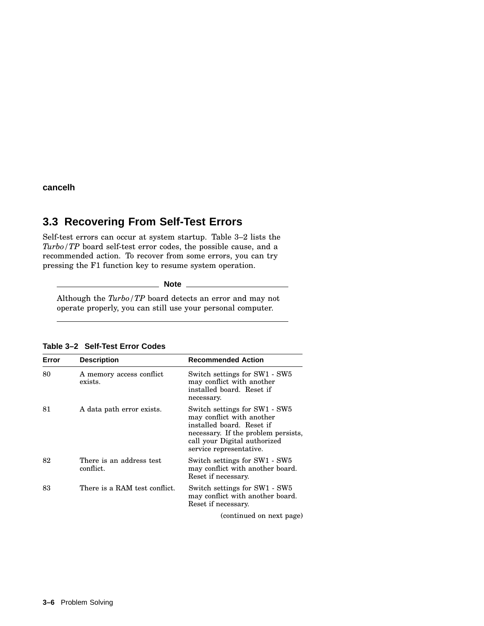**cancelh**

#### **3.3 Recovering From Self-Test Errors**

Self-test errors can occur at system startup. Table 3–2 lists the *Turbo/TP* board self-test error codes, the possible cause, and a recommended action. To recover from some errors, you can try pressing the F1 function key to resume system operation.

**Note** 

Although the *Turbo/TP* board detects an error and may not operate properly, you can still use your personal computer.

| Error | <b>Description</b>                    | <b>Recommended Action</b>                                                                                                                                                                 |
|-------|---------------------------------------|-------------------------------------------------------------------------------------------------------------------------------------------------------------------------------------------|
| 80    | A memory access conflict<br>exists.   | Switch settings for SW1 - SW5<br>may conflict with another<br>installed board. Reset if<br>necessary.                                                                                     |
| 81    | A data path error exists.             | Switch settings for SW1 - SW5<br>may conflict with another<br>installed board. Reset if<br>necessary. If the problem persists,<br>call your Digital authorized<br>service representative. |
| 82    | There is an address test<br>conflict. | Switch settings for SW1 - SW5<br>may conflict with another board.<br>Reset if necessary.                                                                                                  |
| 83    | There is a RAM test conflict.         | Switch settings for SW1 - SW5<br>may conflict with another board.<br>Reset if necessary.                                                                                                  |
|       |                                       | (continued on next page)                                                                                                                                                                  |

**Table 3–2 Self-Test Error Codes**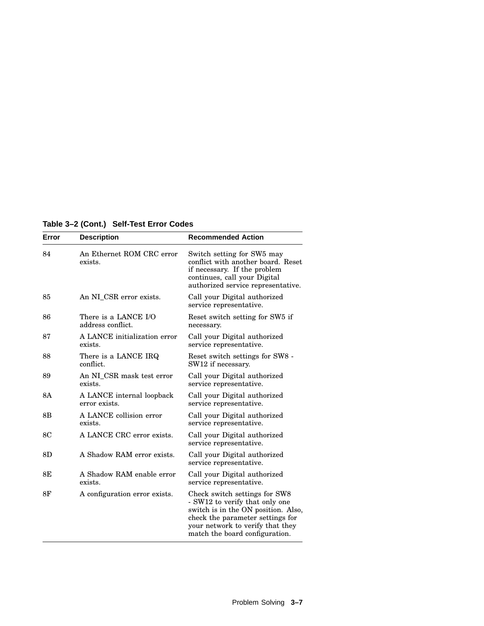**Table 3–2 (Cont.) Self-Test Error Codes**

| Error     | <b>Description</b>                         | <b>Recommended Action</b>                                                                                                                                                                                        |
|-----------|--------------------------------------------|------------------------------------------------------------------------------------------------------------------------------------------------------------------------------------------------------------------|
| 84        | An Ethernet ROM CRC error<br>exists.       | Switch setting for SW5 may<br>conflict with another board. Reset<br>if necessary. If the problem<br>continues, call your Digital<br>authorized service representative.                                           |
| 85        | An NI CSR error exists.                    | Call your Digital authorized<br>service representative.                                                                                                                                                          |
| 86        | There is a LANCE I/O<br>address conflict.  | Reset switch setting for SW5 if<br>necessary.                                                                                                                                                                    |
| 87        | A LANCE initialization error<br>exists.    | Call your Digital authorized<br>service representative.                                                                                                                                                          |
| 88        | There is a LANCE IRQ<br>conflict.          | Reset switch settings for SW8 -<br>SW12 if necessary.                                                                                                                                                            |
| 89        | An NI_CSR mask test error<br>exists.       | Call your Digital authorized<br>service representative.                                                                                                                                                          |
| <b>8A</b> | A LANCE internal loopback<br>error exists. | Call your Digital authorized<br>service representative.                                                                                                                                                          |
| 8B        | A LANCE collision error<br>exists.         | Call your Digital authorized<br>service representative.                                                                                                                                                          |
| <b>8C</b> | A LANCE CRC error exists.                  | Call your Digital authorized<br>service representative.                                                                                                                                                          |
| 8D        | A Shadow RAM error exists.                 | Call your Digital authorized<br>service representative.                                                                                                                                                          |
| 8E        | A Shadow RAM enable error<br>exists.       | Call your Digital authorized<br>service representative.                                                                                                                                                          |
| 8F        | A configuration error exists.              | Check switch settings for SW8<br>- SW12 to verify that only one<br>switch is in the ON position. Also,<br>check the parameter settings for<br>your network to verify that they<br>match the board configuration. |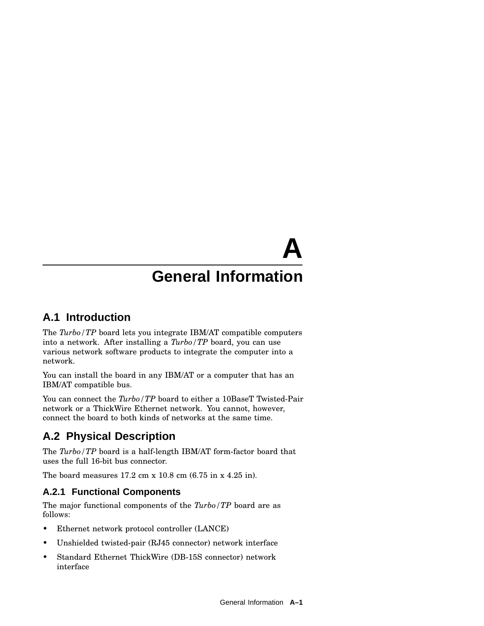# **General Information**

**A**

#### **A.1 Introduction**

The *Turbo/TP* board lets you integrate IBM/AT compatible computers into a network. After installing a *Turbo/TP* board, you can use various network software products to integrate the computer into a network.

You can install the board in any IBM/AT or a computer that has an IBM/AT compatible bus.

You can connect the *Turbo*/*TP* board to either a 10BaseT Twisted-Pair network or a ThickWire Ethernet network. You cannot, however, connect the board to both kinds of networks at the same time.

## **A.2 Physical Description**

The *Turbo/TP* board is a half-length IBM/AT form-factor board that uses the full 16-bit bus connector.

The board measures 17.2 cm x 10.8 cm (6.75 in x 4.25 in).

#### **A.2.1 Functional Components**

The major functional components of the *Turbo/TP* board are as follows:

- Ethernet network protocol controller (LANCE)
- Unshielded twisted-pair (RJ45 connector) network interface
- Standard Ethernet ThickWire (DB-15S connector) network interface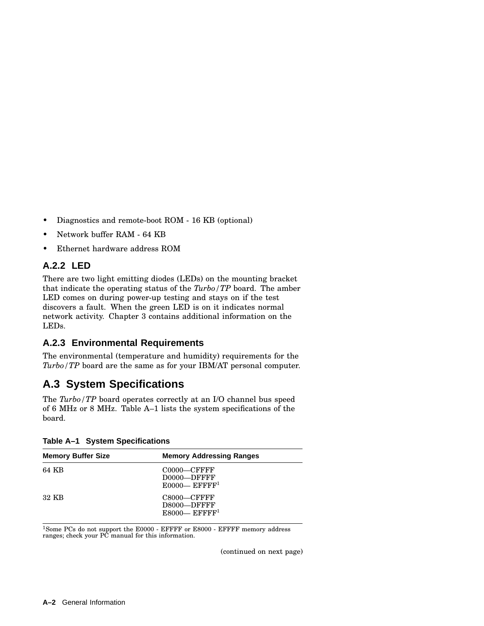- Diagnostics and remote-boot ROM 16 KB (optional)
- Network buffer RAM 64 KB
- Ethernet hardware address ROM

#### **A.2.2 LED**

There are two light emitting diodes (LEDs) on the mounting bracket that indicate the operating status of the *Turbo/TP* board. The amber LED comes on during power-up testing and stays on if the test discovers a fault. When the green LED is on it indicates normal network activity. Chapter 3 contains additional information on the LEDs.

#### **A.2.3 Environmental Requirements**

The environmental (temperature and humidity) requirements for the *Turbo/TP* board are the same as for your IBM/AT personal computer.

### **A.3 System Specifications**

The *Turbo/TP* board operates correctly at an I/O channel bus speed of 6 MHz or 8 MHz. Table A–1 lists the system specifications of the board.

| <b>Memory Buffer Size</b> | <b>Memory Addressing Ranges</b>                                   |
|---------------------------|-------------------------------------------------------------------|
| 64 KB                     | $C0000-CFFFFF$<br>D0000-DFFFF<br>$E0000$ — EFFFF <sup>1</sup>     |
| 32 KB                     | $C8000$ — $C$ FFFF<br>D8000-DFFFF<br>$E8000$ — EFFFF <sup>1</sup> |

**Table A–1 System Specifications**

<sup>1</sup>Some PCs do not support the E0000 - EFFFF or E8000 - EFFFF memory address ranges; check your PC manual for this information.

(continued on next page)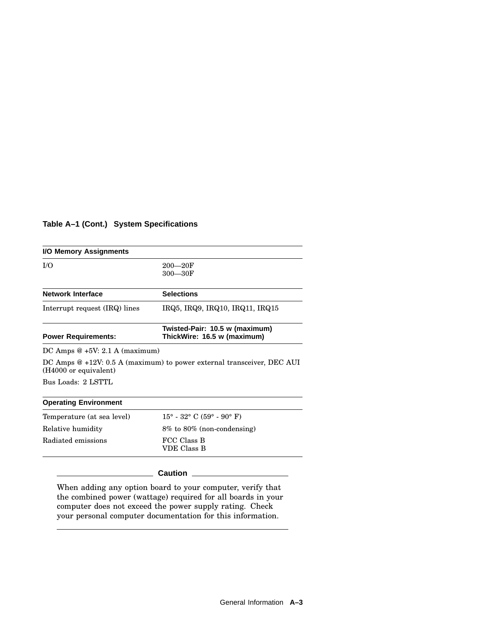#### **Table A–1 (Cont.) System Specifications**

| I/O Memory Assignments          |                                                                        |
|---------------------------------|------------------------------------------------------------------------|
| I/O                             | $200 - 20F$<br>$300 - 30F$                                             |
| <b>Network Interface</b>        | <b>Selections</b>                                                      |
| Interrupt request (IRQ) lines   | IRQ5, IRQ9, IRQ10, IRQ11, IRQ15                                        |
| <b>Power Requirements:</b>      | Twisted-Pair: 10.5 w (maximum)<br>ThickWire: 16.5 w (maximum)          |
| DC Amps $@+5V: 2.1 A (maximum)$ |                                                                        |
| (H4000 or equivalent)           | DC Amps @ +12V: 0.5 A (maximum) to power external transceiver, DEC AUI |
| Bus Loads: 2 LSTTL              |                                                                        |
| <b>Operating Environment</b>    |                                                                        |
| Temperature (at sea level)      | $15^{\circ}$ - 32° C (59° - 90° F)                                     |
| Relative humidity               | 8% to 80% (non-condensing)                                             |
| Radiated emissions              | FCC Class B<br><b>VDE Class B</b>                                      |
|                                 | Caution                                                                |

When adding any option board to your computer, verify that the combined power (wattage) required for all boards in your computer does not exceed the power supply rating. Check your personal computer documentation for this information.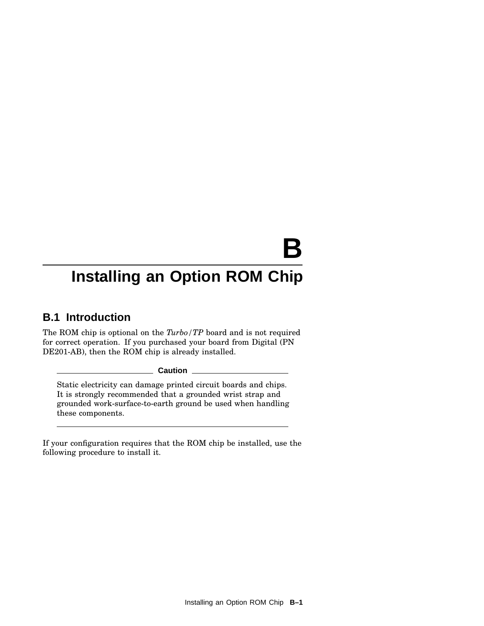# **B**

# **Installing an Option ROM Chip**

### **B.1 Introduction**

The ROM chip is optional on the *Turbo/TP* board and is not required for correct operation. If you purchased your board from Digital (PN DE201-AB), then the ROM chip is already installed.

**Caution**

Static electricity can damage printed circuit boards and chips. It is strongly recommended that a grounded wrist strap and grounded work-surface-to-earth ground be used when handling these components.

If your configuration requires that the ROM chip be installed, use the following procedure to install it.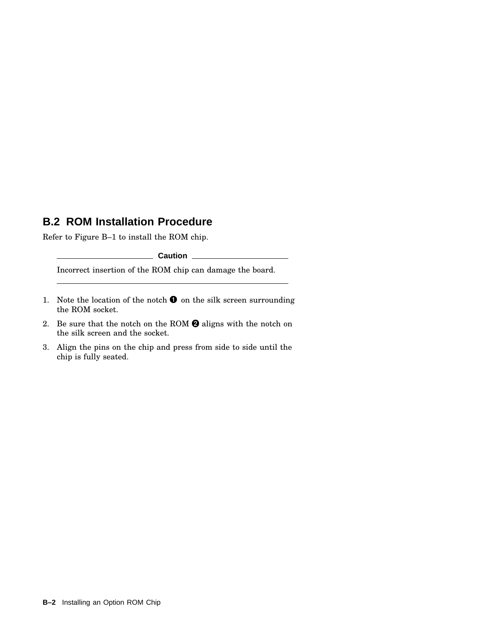#### **B.2 ROM Installation Procedure**

Refer to Figure B–1 to install the ROM chip.

**Caution** 2008

Incorrect insertion of the ROM chip can damage the board.

- 1. Note the location of the notch  $\bullet$  on the silk screen surrounding the ROM socket.
- 2. Be sure that the notch on the ROM  $\bigcirc$  aligns with the notch on the silk screen and the socket.
- 3. Align the pins on the chip and press from side to side until the chip is fully seated.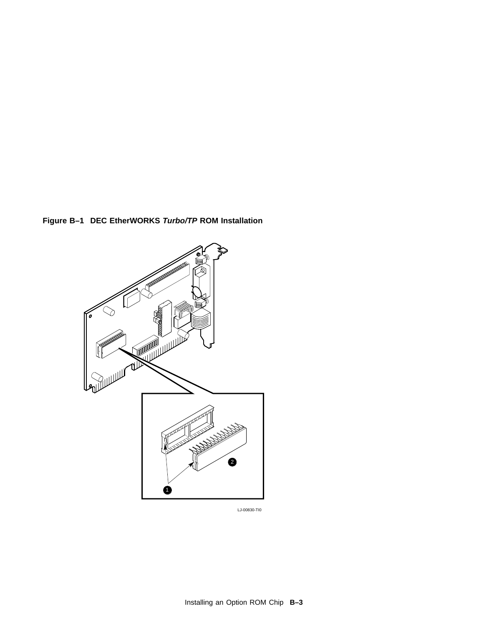**Figure B–1 DEC EtherWORKS Turbo/TP ROM Installation**



LJ-00830-TI0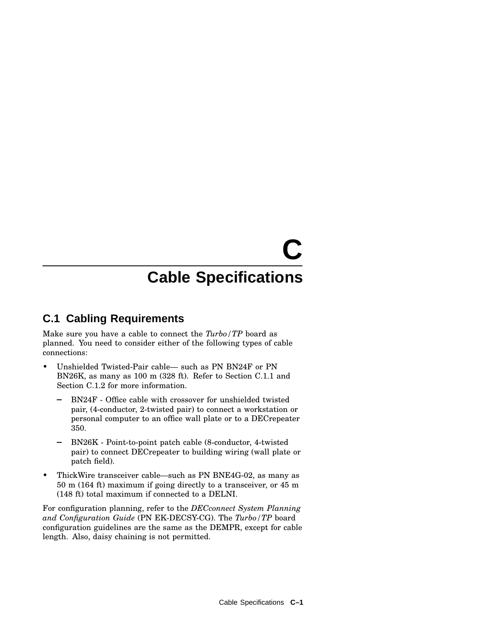# **C**

# **Cable Specifications**

### **C.1 Cabling Requirements**

Make sure you have a cable to connect the *Turbo/TP* board as planned. You need to consider either of the following types of cable connections:

- Unshielded Twisted-Pair cable— such as PN BN24F or PN BN26K, as many as 100 m (328 ft). Refer to Section C.1.1 and Section C.1.2 for more information.
	- BN24F Office cable with crossover for unshielded twisted pair, (4-conductor, 2-twisted pair) to connect a workstation or personal computer to an office wall plate or to a DECrepeater 350.
	- BN26K Point-to-point patch cable (8-conductor, 4-twisted pair) to connect DECrepeater to building wiring (wall plate or patch field).
- ThickWire transceiver cable—such as PN BNE4G-02, as many as 50 m (164 ft) maximum if going directly to a transceiver, or 45 m (148 ft) total maximum if connected to a DELNI.

For configuration planning, refer to the *DECconnect System Planning and Configuration Guide* (PN EK-DECSY-CG). The *Turbo/TP* board configuration guidelines are the same as the DEMPR, except for cable length. Also, daisy chaining is not permitted.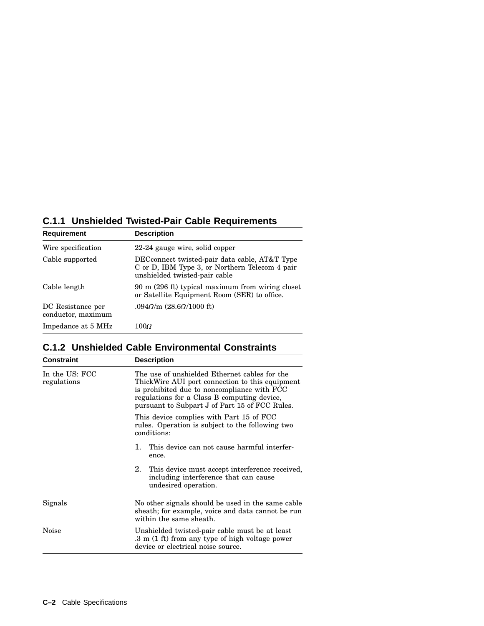#### **C.1.1 Unshielded Twisted-Pair Cable Requirements**

| <b>Requirement</b>                      | <b>Description</b>                                                                                                               |
|-----------------------------------------|----------------------------------------------------------------------------------------------------------------------------------|
| Wire specification                      | 22-24 gauge wire, solid copper                                                                                                   |
| Cable supported                         | DECconnect twisted-pair data cable, AT&T Type<br>C or D, IBM Type 3, or Northern Telecom 4 pair<br>unshielded twisted-pair cable |
| Cable length                            | 90 m (296 ft) typical maximum from wiring closet<br>or Satellite Equipment Room (SER) to office.                                 |
| DC Resistance per<br>conductor, maximum | $.094\Omega/m (28.6\Omega/1000 \text{ ft})$                                                                                      |
| Impedance at 5 MHz                      | $100\varOmega$                                                                                                                   |

#### **C.1.2 Unshielded Cable Environmental Constraints**

| <b>Constraint</b>             | <b>Description</b>                                                                                                                                                                                                                               |
|-------------------------------|--------------------------------------------------------------------------------------------------------------------------------------------------------------------------------------------------------------------------------------------------|
| In the US: FCC<br>regulations | The use of unshielded Ethernet cables for the<br>ThickWire AUI port connection to this equipment<br>is prohibited due to noncompliance with FCC<br>regulations for a Class B computing device,<br>pursuant to Subpart J of Part 15 of FCC Rules. |
|                               | This device complies with Part 15 of FCC<br>rules. Operation is subject to the following two<br>conditions:                                                                                                                                      |
|                               | This device can not cause harmful interfer-<br>1.<br>ence.                                                                                                                                                                                       |
|                               | 2.<br>This device must accept interference received,<br>including interference that can cause<br>undesired operation.                                                                                                                            |
| Signals                       | No other signals should be used in the same cable<br>sheath; for example, voice and data cannot be run<br>within the same sheath.                                                                                                                |
| Noise                         | Unshielded twisted-pair cable must be at least<br>.3 m (1 ft) from any type of high voltage power<br>device or electrical noise source.                                                                                                          |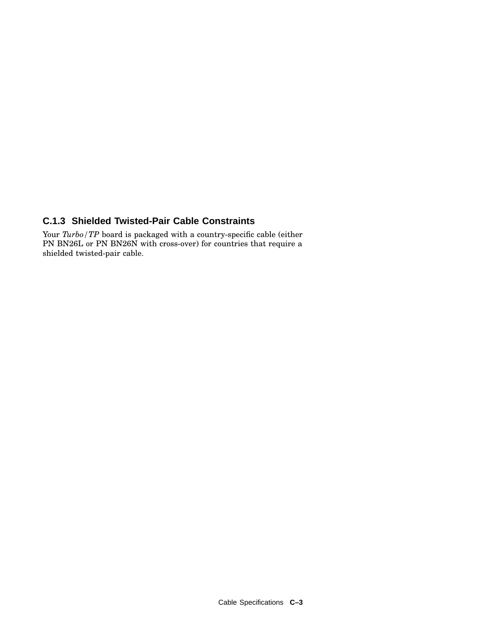#### **C.1.3 Shielded Twisted-Pair Cable Constraints**

Your *Turbo*/TP board is packaged with a country-specific cable (either PN BN26L or PN BN26N with cross-over) for countries that require a shielded twisted-pair cable.